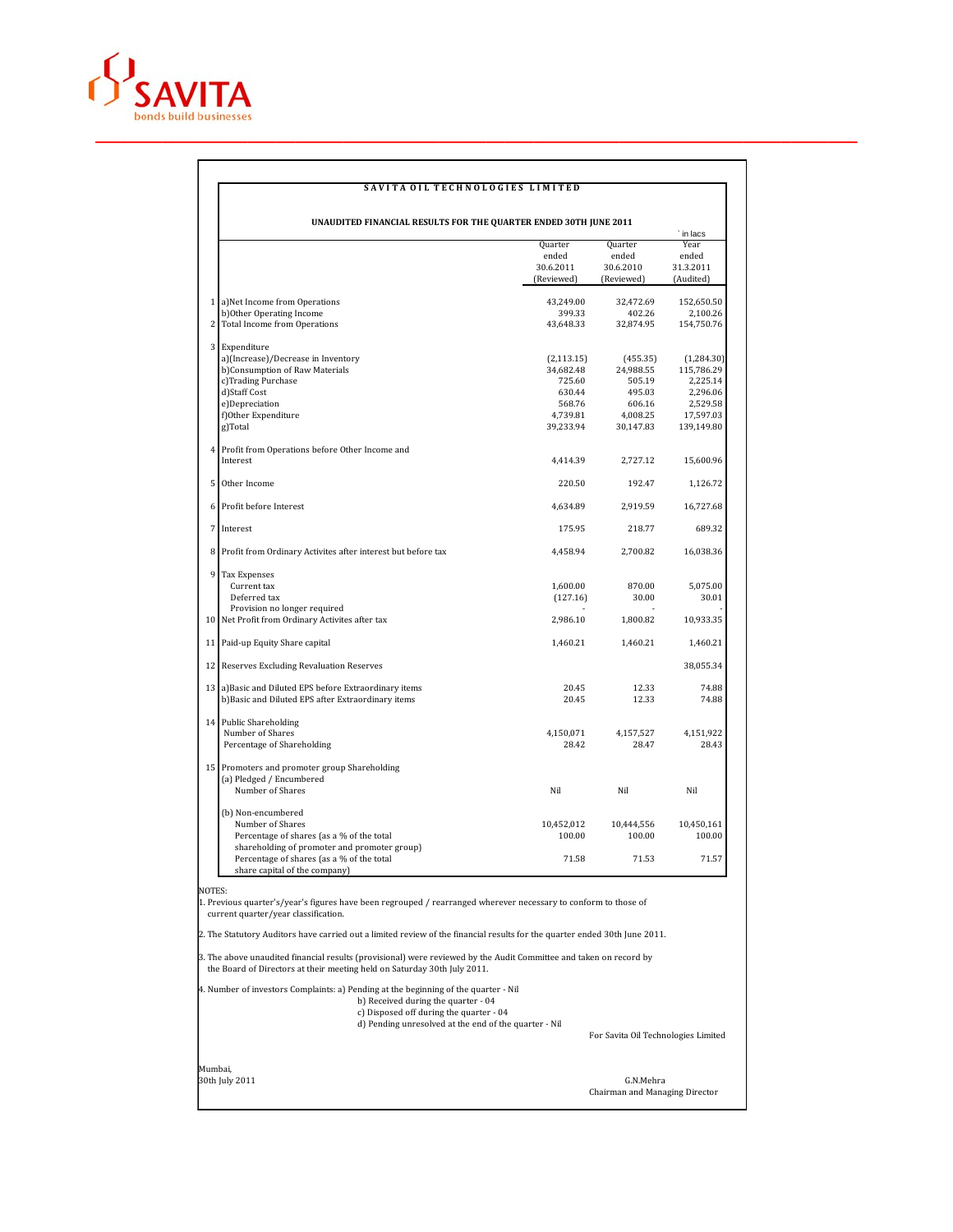

 $\overline{1}$ 

## SAVITA OIL TECHNOLOGIES LIMITED

|                |                                                                                                                           | Quarter<br>ended<br>30.6.2011<br>(Reviewed) | Quarter<br>ended<br>30.6.2010<br>(Reviewed) | Year<br>ended<br>31.3.2011<br>(Audited) |
|----------------|---------------------------------------------------------------------------------------------------------------------------|---------------------------------------------|---------------------------------------------|-----------------------------------------|
|                | 1 a)Net Income from Operations                                                                                            | 43,249.00                                   | 32,472.69                                   | 152,650.50                              |
| 2              | b) Other Operating Income<br>Total Income from Operations                                                                 | 399.33<br>43,648.33                         | 402.26<br>32,874.95                         | 2,100.26<br>154,750.76                  |
|                | 3 Expenditure                                                                                                             |                                             |                                             |                                         |
|                | a)(Increase)/Decrease in Inventory                                                                                        | (2, 113.15)                                 | (455.35)                                    | (1,284.30)                              |
|                | b)Consumption of Raw Materials                                                                                            | 34,682.48                                   | 24,988.55                                   | 115,786.29                              |
|                | c)Trading Purchase                                                                                                        | 725.60                                      | 505.19                                      | 2,225.14                                |
|                | d)Staff Cost                                                                                                              | 630.44                                      | 495.03                                      | 2,296.06                                |
|                | e)Depreciation                                                                                                            | 568.76                                      | 606.16                                      | 2,529.58                                |
|                | f)Other Expenditure<br>g)Total                                                                                            | 4,739.81<br>39,233.94                       | 4,008.25<br>30,147.83                       | 17,597.03<br>139,149.80                 |
| $\overline{4}$ | Profit from Operations before Other Income and                                                                            |                                             |                                             |                                         |
|                | Interest                                                                                                                  | 4,414.39                                    | 2,727.12                                    | 15,600.96                               |
| 5              | Other Income                                                                                                              | 220.50                                      | 192.47                                      | 1,126.72                                |
| 6              | Profit before Interest                                                                                                    | 4,634.89                                    | 2,919.59                                    | 16,727.68                               |
| 7              | Interest                                                                                                                  | 175.95                                      | 218.77                                      | 689.32                                  |
| 8              | Profit from Ordinary Activites after interest but before tax                                                              | 4,458.94                                    | 2,700.82                                    | 16,038.36                               |
| 9              | Tax Expenses                                                                                                              |                                             |                                             |                                         |
|                | Current tax                                                                                                               | 1,600.00                                    | 870.00                                      | 5.075.00                                |
|                | Deferred tax                                                                                                              | (127.16)                                    | 30.00                                       | 30.01                                   |
|                | Provision no longer required<br>10 Net Profit from Ordinary Activites after tax                                           | 2,986.10                                    | 1,800.82                                    | 10,933.35                               |
|                | 11 Paid-up Equity Share capital                                                                                           | 1,460.21                                    | 1,460.21                                    | 1,460.21                                |
|                | 12 Reserves Excluding Revaluation Reserves                                                                                |                                             |                                             | 38,055.34                               |
|                | 13 a) Basic and Diluted EPS before Extraordinary items                                                                    | 20.45                                       | 12.33                                       | 74.88                                   |
|                | b)Basic and Diluted EPS after Extraordinary items                                                                         | 20.45                                       | 12.33                                       | 74.88                                   |
|                | 14 Public Shareholding                                                                                                    |                                             |                                             |                                         |
|                | Number of Shares<br>Percentage of Shareholding                                                                            | 4,150,071<br>28.42                          | 4,157,527<br>28.47                          | 4,151,922<br>28.43                      |
|                | 15 Promoters and promoter group Shareholding                                                                              |                                             |                                             |                                         |
|                | (a) Pledged / Encumbered                                                                                                  |                                             |                                             |                                         |
|                | Number of Shares                                                                                                          | Nil                                         | Nil                                         | Nil                                     |
|                | (b) Non-encumbered                                                                                                        |                                             |                                             |                                         |
|                | Number of Shares                                                                                                          | 10,452,012                                  | 10,444,556                                  | 10,450,161                              |
|                | Percentage of shares (as a % of the total                                                                                 | 100.00                                      | 100.00                                      | 100.00                                  |
|                | shareholding of promoter and promoter group)                                                                              |                                             |                                             |                                         |
|                | Percentage of shares (as a % of the total<br>share capital of the company)                                                | 71.58                                       | 71.53                                       | 71.57                                   |
|                | NOTES:<br>1. Previous quarter's/year's figures have been regrouped / rearranged wherever necessary to conform to those of |                                             |                                             |                                         |

3. The above unaudited financial results (provisional) were reviewed by the Audit Committee and taken on record by the Board of Directors at their meeting held on Saturday 30th July 2011.

4. Number of investors Complaints: a) Pending at the beginning of the quarter - Nil b) Received during the quarter - 04 c) Disposed off during the quarter - 04 d) Pending unresolved at the end of the quarter - Nil

For Savita Oil Technologies Limited

Mumbai, 30th July 2011 G.N.Mehra Chairman and Managing Director